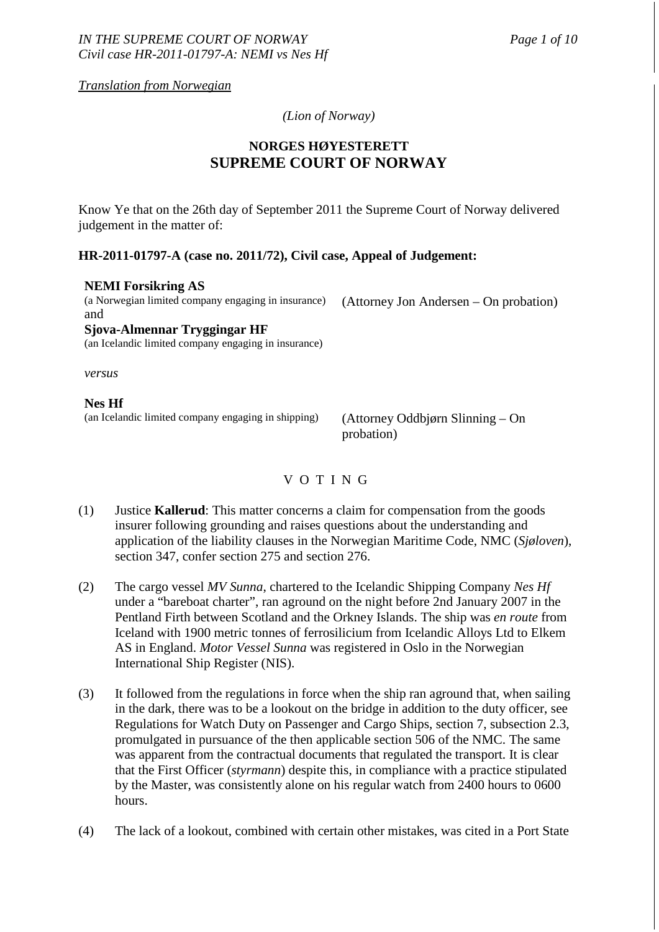*Translation from Norwegian* 

*(Lion of Norway)* 

# **NORGES HØYESTERETT SUPREME COURT OF NORWAY**

Know Ye that on the 26th day of September 2011 the Supreme Court of Norway delivered judgement in the matter of:

### **HR-2011-01797-A (case no. 2011/72), Civil case, Appeal of Judgement:**

### **NEMI Forsikring AS**

(a Norwegian limited company engaging in insurance) and

(Attorney Jon Andersen – On probation)

**Sjova-Almennar Tryggingar HF**  (an Icelandic limited company engaging in insurance)

*versus*

### **Nes Hf**

(an Icelandic limited company engaging in shipping) (Attorney Oddbjørn Slinning – On

probation)

V O T I N G

- (1) Justice **Kallerud**: This matter concerns a claim for compensation from the goods insurer following grounding and raises questions about the understanding and application of the liability clauses in the Norwegian Maritime Code, NMC (*Sjøloven*), section 347, confer section 275 and section 276.
- (2) The cargo vessel *MV Sunna*, chartered to the Icelandic Shipping Company *Nes Hf* under a "bareboat charter", ran aground on the night before 2nd January 2007 in the Pentland Firth between Scotland and the Orkney Islands. The ship was *en route* from Iceland with 1900 metric tonnes of ferrosilicium from Icelandic Alloys Ltd to Elkem AS in England. *Motor Vessel Sunna* was registered in Oslo in the Norwegian International Ship Register (NIS).
- (3) It followed from the regulations in force when the ship ran aground that, when sailing in the dark, there was to be a lookout on the bridge in addition to the duty officer, see Regulations for Watch Duty on Passenger and Cargo Ships, section 7, subsection 2.3, promulgated in pursuance of the then applicable section 506 of the NMC. The same was apparent from the contractual documents that regulated the transport. It is clear that the First Officer (*styrmann*) despite this, in compliance with a practice stipulated by the Master, was consistently alone on his regular watch from 2400 hours to 0600 hours.
- (4) The lack of a lookout, combined with certain other mistakes, was cited in a Port State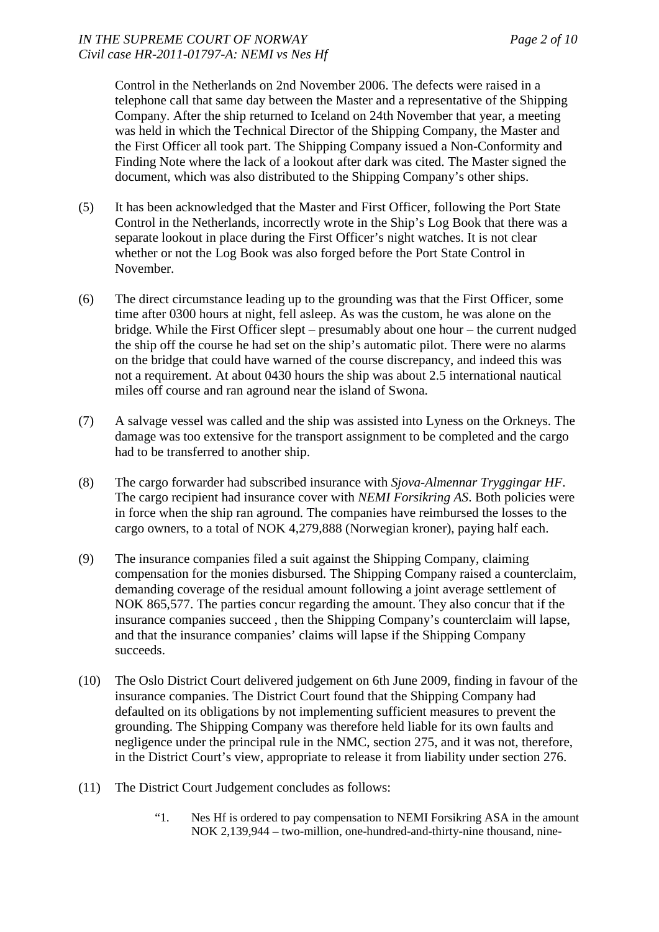Control in the Netherlands on 2nd November 2006. The defects were raised in a telephone call that same day between the Master and a representative of the Shipping Company. After the ship returned to Iceland on 24th November that year, a meeting was held in which the Technical Director of the Shipping Company, the Master and the First Officer all took part. The Shipping Company issued a Non-Conformity and Finding Note where the lack of a lookout after dark was cited. The Master signed the document, which was also distributed to the Shipping Company's other ships.

- (5) It has been acknowledged that the Master and First Officer, following the Port State Control in the Netherlands, incorrectly wrote in the Ship's Log Book that there was a separate lookout in place during the First Officer's night watches. It is not clear whether or not the Log Book was also forged before the Port State Control in November.
- (6) The direct circumstance leading up to the grounding was that the First Officer, some time after 0300 hours at night, fell asleep. As was the custom, he was alone on the bridge. While the First Officer slept – presumably about one hour – the current nudged the ship off the course he had set on the ship's automatic pilot. There were no alarms on the bridge that could have warned of the course discrepancy, and indeed this was not a requirement. At about 0430 hours the ship was about 2.5 international nautical miles off course and ran aground near the island of Swona.
- (7) A salvage vessel was called and the ship was assisted into Lyness on the Orkneys. The damage was too extensive for the transport assignment to be completed and the cargo had to be transferred to another ship.
- (8) The cargo forwarder had subscribed insurance with *Sjova-Almennar Tryggingar HF*. The cargo recipient had insurance cover with *NEMI Forsikring AS*. Both policies were in force when the ship ran aground. The companies have reimbursed the losses to the cargo owners, to a total of NOK 4,279,888 (Norwegian kroner), paying half each.
- (9) The insurance companies filed a suit against the Shipping Company, claiming compensation for the monies disbursed. The Shipping Company raised a counterclaim, demanding coverage of the residual amount following a joint average settlement of NOK 865,577. The parties concur regarding the amount. They also concur that if the insurance companies succeed , then the Shipping Company's counterclaim will lapse, and that the insurance companies' claims will lapse if the Shipping Company succeeds.
- (10) The Oslo District Court delivered judgement on 6th June 2009, finding in favour of the insurance companies. The District Court found that the Shipping Company had defaulted on its obligations by not implementing sufficient measures to prevent the grounding. The Shipping Company was therefore held liable for its own faults and negligence under the principal rule in the NMC, section 275, and it was not, therefore, in the District Court's view, appropriate to release it from liability under section 276.
- (11) The District Court Judgement concludes as follows:
	- "1. Nes Hf is ordered to pay compensation to NEMI Forsikring ASA in the amount NOK 2,139,944 – two-million, one-hundred-and-thirty-nine thousand, nine-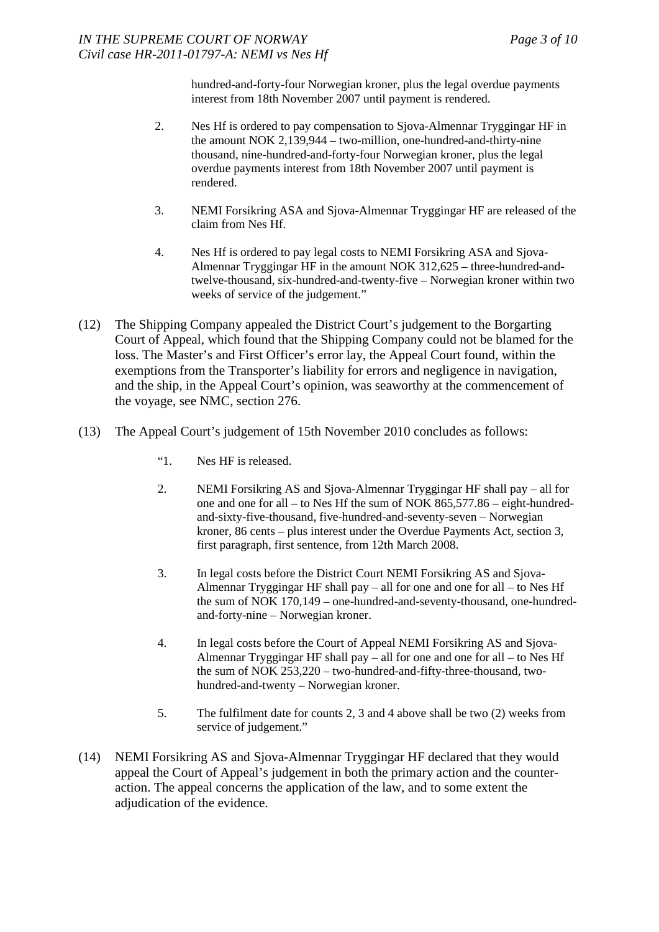hundred-and-forty-four Norwegian kroner, plus the legal overdue payments interest from 18th November 2007 until payment is rendered.

- 2. Nes Hf is ordered to pay compensation to Sjova-Almennar Tryggingar HF in the amount NOK 2,139,944 – two-million, one-hundred-and-thirty-nine thousand, nine-hundred-and-forty-four Norwegian kroner, plus the legal overdue payments interest from 18th November 2007 until payment is rendered.
- 3. NEMI Forsikring ASA and Sjova-Almennar Tryggingar HF are released of the claim from Nes Hf.
- 4. Nes Hf is ordered to pay legal costs to NEMI Forsikring ASA and Sjova-Almennar Tryggingar HF in the amount NOK 312,625 – three-hundred-andtwelve-thousand, six-hundred-and-twenty-five – Norwegian kroner within two weeks of service of the judgement."
- (12) The Shipping Company appealed the District Court's judgement to the Borgarting Court of Appeal, which found that the Shipping Company could not be blamed for the loss. The Master's and First Officer's error lay, the Appeal Court found, within the exemptions from the Transporter's liability for errors and negligence in navigation, and the ship, in the Appeal Court's opinion, was seaworthy at the commencement of the voyage, see NMC, section 276.
- (13) The Appeal Court's judgement of 15th November 2010 concludes as follows:
	- "1. Nes HF is released.
	- 2. NEMI Forsikring AS and Sjova-Almennar Tryggingar HF shall pay all for one and one for all – to Nes Hf the sum of NOK 865,577.86 – eight-hundredand-sixty-five-thousand, five-hundred-and-seventy-seven – Norwegian kroner, 86 cents – plus interest under the Overdue Payments Act, section 3, first paragraph, first sentence, from 12th March 2008.
	- 3. In legal costs before the District Court NEMI Forsikring AS and Sjova-Almennar Tryggingar HF shall pay – all for one and one for all – to Nes Hf the sum of NOK 170,149 – one-hundred-and-seventy-thousand, one-hundredand-forty-nine – Norwegian kroner.
	- 4. In legal costs before the Court of Appeal NEMI Forsikring AS and Sjova-Almennar Tryggingar HF shall pay – all for one and one for all – to Nes Hf the sum of NOK 253,220 – two-hundred-and-fifty-three-thousand, twohundred-and-twenty – Norwegian kroner.
	- 5. The fulfilment date for counts 2, 3 and 4 above shall be two (2) weeks from service of judgement."
- (14) NEMI Forsikring AS and Sjova-Almennar Tryggingar HF declared that they would appeal the Court of Appeal's judgement in both the primary action and the counteraction. The appeal concerns the application of the law, and to some extent the adjudication of the evidence.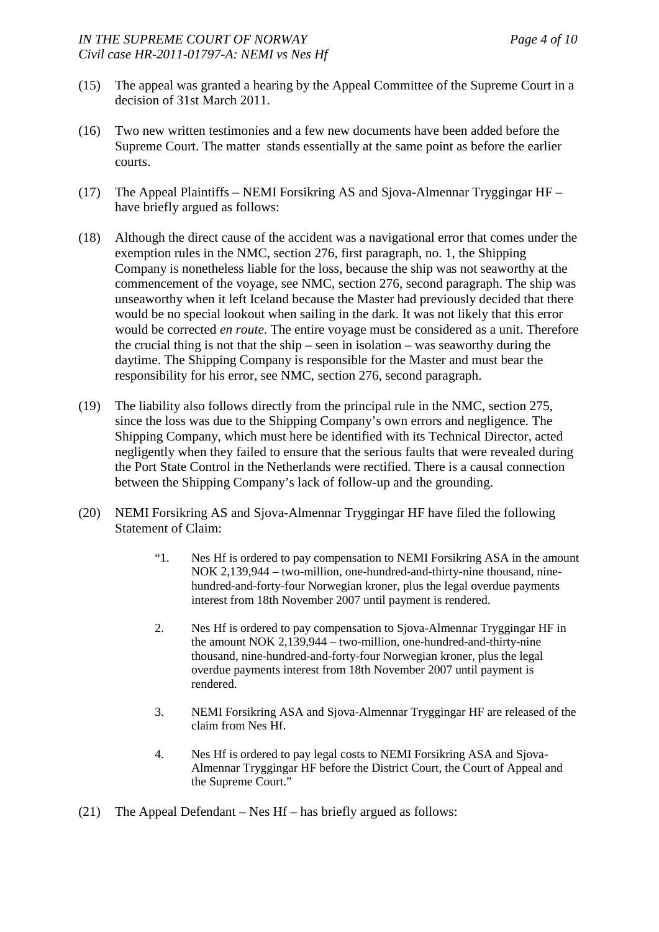- (15) The appeal was granted a hearing by the Appeal Committee of the Supreme Court in a decision of 31st March 2011.
- (16) Two new written testimonies and a few new documents have been added before the Supreme Court. The matter stands essentially at the same point as before the earlier courts.
- (17) The Appeal Plaintiffs NEMI Forsikring AS and Sjova-Almennar Tryggingar HF have briefly argued as follows:
- (18) Although the direct cause of the accident was a navigational error that comes under the exemption rules in the NMC, section 276, first paragraph, no. 1, the Shipping Company is nonetheless liable for the loss, because the ship was not seaworthy at the commencement of the voyage, see NMC, section 276, second paragraph. The ship was unseaworthy when it left Iceland because the Master had previously decided that there would be no special lookout when sailing in the dark. It was not likely that this error would be corrected *en route*. The entire voyage must be considered as a unit. Therefore the crucial thing is not that the ship – seen in isolation – was seaworthy during the daytime. The Shipping Company is responsible for the Master and must bear the responsibility for his error, see NMC, section 276, second paragraph.
- (19) The liability also follows directly from the principal rule in the NMC, section 275, since the loss was due to the Shipping Company's own errors and negligence. The Shipping Company, which must here be identified with its Technical Director, acted negligently when they failed to ensure that the serious faults that were revealed during the Port State Control in the Netherlands were rectified. There is a causal connection between the Shipping Company's lack of follow-up and the grounding.
- (20) NEMI Forsikring AS and Sjova-Almennar Tryggingar HF have filed the following Statement of Claim:
	- "1. Nes Hf is ordered to pay compensation to NEMI Forsikring ASA in the amount NOK 2,139,944 – two-million, one-hundred-and-thirty-nine thousand, ninehundred-and-forty-four Norwegian kroner, plus the legal overdue payments interest from 18th November 2007 until payment is rendered.
	- 2. Nes Hf is ordered to pay compensation to Sjova-Almennar Tryggingar HF in the amount NOK 2,139,944 – two-million, one-hundred-and-thirty-nine thousand, nine-hundred-and-forty-four Norwegian kroner, plus the legal overdue payments interest from 18th November 2007 until payment is rendered.
	- 3. NEMI Forsikring ASA and Sjova-Almennar Tryggingar HF are released of the claim from Nes Hf.
	- 4. Nes Hf is ordered to pay legal costs to NEMI Forsikring ASA and Sjova-Almennar Tryggingar HF before the District Court, the Court of Appeal and the Supreme Court."
- (21) The Appeal Defendant Nes Hf has briefly argued as follows: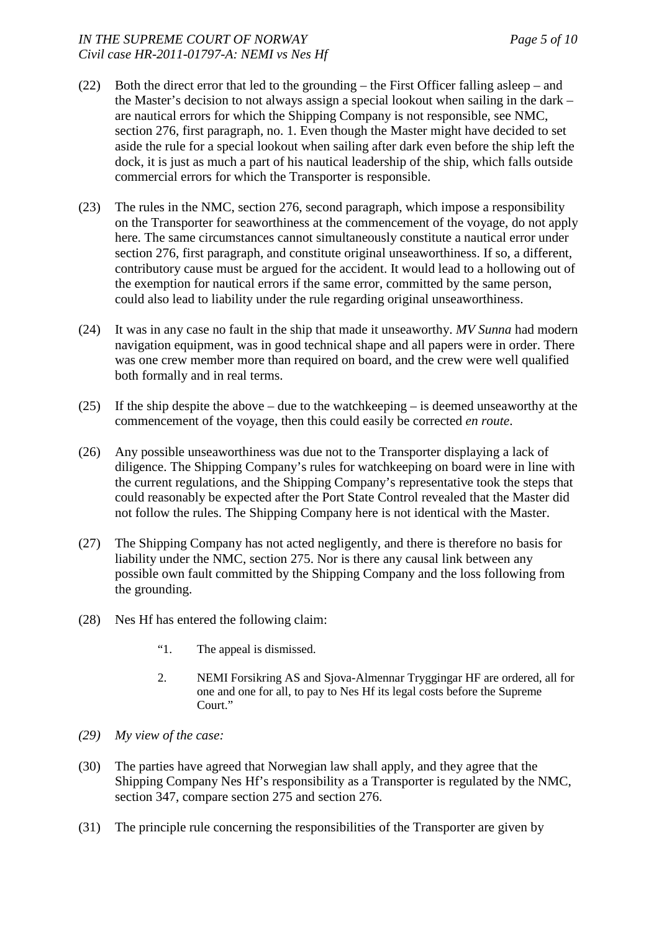### *IN THE SUPREME COURT OF NORWAY Page 5 of 10 Civil case HR-2011-01797-A: NEMI vs Nes Hf*

- (22) Both the direct error that led to the grounding the First Officer falling asleep and the Master's decision to not always assign a special lookout when sailing in the dark – are nautical errors for which the Shipping Company is not responsible, see NMC, section 276, first paragraph, no. 1. Even though the Master might have decided to set aside the rule for a special lookout when sailing after dark even before the ship left the dock, it is just as much a part of his nautical leadership of the ship, which falls outside commercial errors for which the Transporter is responsible.
- (23) The rules in the NMC, section 276, second paragraph, which impose a responsibility on the Transporter for seaworthiness at the commencement of the voyage, do not apply here. The same circumstances cannot simultaneously constitute a nautical error under section 276, first paragraph, and constitute original unseaworthiness. If so, a different, contributory cause must be argued for the accident. It would lead to a hollowing out of the exemption for nautical errors if the same error, committed by the same person, could also lead to liability under the rule regarding original unseaworthiness.
- (24) It was in any case no fault in the ship that made it unseaworthy. *MV Sunna* had modern navigation equipment, was in good technical shape and all papers were in order. There was one crew member more than required on board, and the crew were well qualified both formally and in real terms.
- (25) If the ship despite the above due to the watchkeeping is deemed unseaworthy at the commencement of the voyage, then this could easily be corrected *en route*.
- (26) Any possible unseaworthiness was due not to the Transporter displaying a lack of diligence. The Shipping Company's rules for watchkeeping on board were in line with the current regulations, and the Shipping Company's representative took the steps that could reasonably be expected after the Port State Control revealed that the Master did not follow the rules. The Shipping Company here is not identical with the Master.
- (27) The Shipping Company has not acted negligently, and there is therefore no basis for liability under the NMC, section 275. Nor is there any causal link between any possible own fault committed by the Shipping Company and the loss following from the grounding.
- (28) Nes Hf has entered the following claim:
	- "1. The appeal is dismissed.
	- 2. NEMI Forsikring AS and Sjova-Almennar Tryggingar HF are ordered, all for one and one for all, to pay to Nes Hf its legal costs before the Supreme Court."
- *(29) My view of the case:*
- (30) The parties have agreed that Norwegian law shall apply, and they agree that the Shipping Company Nes Hf's responsibility as a Transporter is regulated by the NMC, section 347, compare section 275 and section 276.
- (31) The principle rule concerning the responsibilities of the Transporter are given by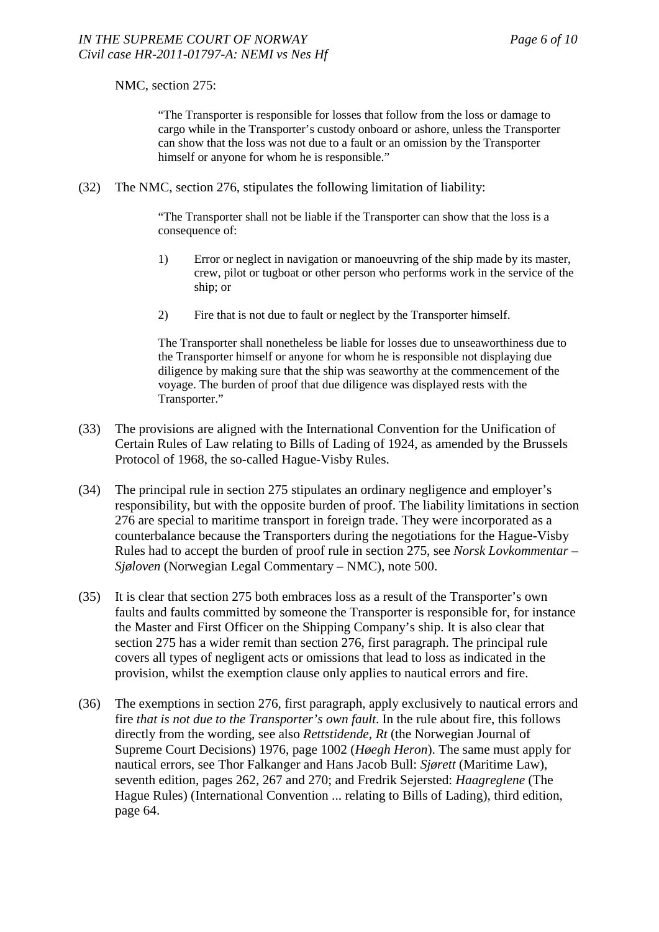### NMC, section 275:

"The Transporter is responsible for losses that follow from the loss or damage to cargo while in the Transporter's custody onboard or ashore, unless the Transporter can show that the loss was not due to a fault or an omission by the Transporter himself or anyone for whom he is responsible."

(32) The NMC, section 276, stipulates the following limitation of liability:

"The Transporter shall not be liable if the Transporter can show that the loss is a consequence of:

- 1) Error or neglect in navigation or manoeuvring of the ship made by its master, crew, pilot or tugboat or other person who performs work in the service of the ship; or
- 2) Fire that is not due to fault or neglect by the Transporter himself.

The Transporter shall nonetheless be liable for losses due to unseaworthiness due to the Transporter himself or anyone for whom he is responsible not displaying due diligence by making sure that the ship was seaworthy at the commencement of the voyage. The burden of proof that due diligence was displayed rests with the Transporter."

- (33) The provisions are aligned with the International Convention for the Unification of Certain Rules of Law relating to Bills of Lading of 1924, as amended by the Brussels Protocol of 1968, the so-called Hague-Visby Rules.
- (34) The principal rule in section 275 stipulates an ordinary negligence and employer's responsibility, but with the opposite burden of proof. The liability limitations in section 276 are special to maritime transport in foreign trade. They were incorporated as a counterbalance because the Transporters during the negotiations for the Hague-Visby Rules had to accept the burden of proof rule in section 275, see *Norsk Lovkommentar – Sjøloven* (Norwegian Legal Commentary – NMC), note 500.
- (35) It is clear that section 275 both embraces loss as a result of the Transporter's own faults and faults committed by someone the Transporter is responsible for, for instance the Master and First Officer on the Shipping Company's ship. It is also clear that section 275 has a wider remit than section 276, first paragraph. The principal rule covers all types of negligent acts or omissions that lead to loss as indicated in the provision, whilst the exemption clause only applies to nautical errors and fire.
- (36) The exemptions in section 276, first paragraph, apply exclusively to nautical errors and fire *that is not due to the Transporter's own fault*. In the rule about fire, this follows directly from the wording, see also *Rettstidende, Rt* (the Norwegian Journal of Supreme Court Decisions) 1976, page 1002 (*Høegh Heron*). The same must apply for nautical errors, see Thor Falkanger and Hans Jacob Bull: *Sjørett* (Maritime Law), seventh edition, pages 262, 267 and 270; and Fredrik Sejersted: *Haagreglene* (The Hague Rules) (International Convention ... relating to Bills of Lading), third edition, page 64.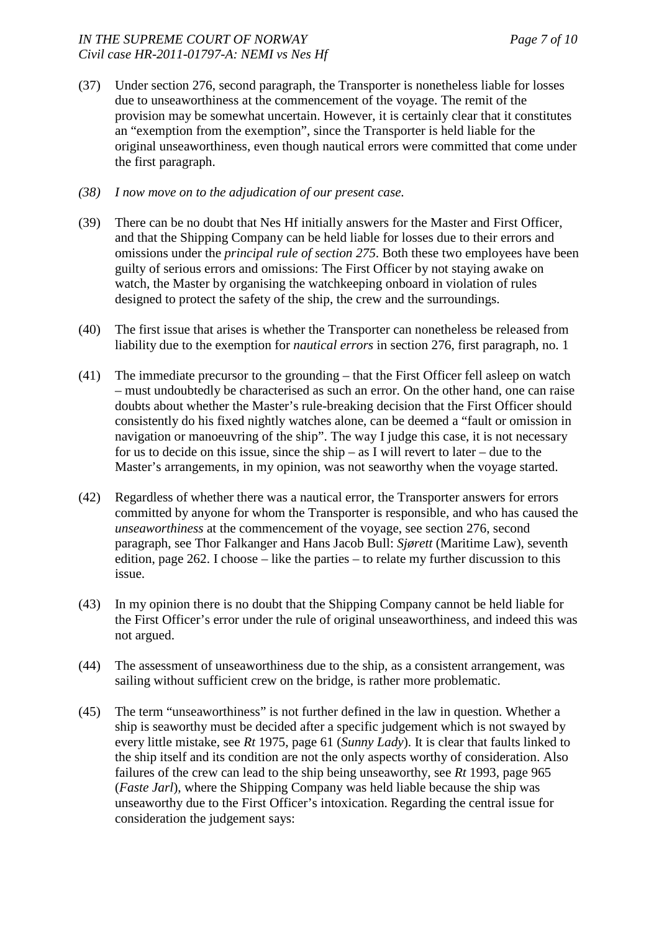- (37) Under section 276, second paragraph, the Transporter is nonetheless liable for losses due to unseaworthiness at the commencement of the voyage. The remit of the provision may be somewhat uncertain. However, it is certainly clear that it constitutes an "exemption from the exemption", since the Transporter is held liable for the original unseaworthiness, even though nautical errors were committed that come under the first paragraph.
- *(38) I now move on to the adjudication of our present case.*
- (39) There can be no doubt that Nes Hf initially answers for the Master and First Officer, and that the Shipping Company can be held liable for losses due to their errors and omissions under the *principal rule of section 275*. Both these two employees have been guilty of serious errors and omissions: The First Officer by not staying awake on watch, the Master by organising the watchkeeping onboard in violation of rules designed to protect the safety of the ship, the crew and the surroundings.
- (40) The first issue that arises is whether the Transporter can nonetheless be released from liability due to the exemption for *nautical errors* in section 276, first paragraph, no. 1
- (41) The immediate precursor to the grounding that the First Officer fell asleep on watch – must undoubtedly be characterised as such an error. On the other hand, one can raise doubts about whether the Master's rule-breaking decision that the First Officer should consistently do his fixed nightly watches alone, can be deemed a "fault or omission in navigation or manoeuvring of the ship". The way I judge this case, it is not necessary for us to decide on this issue, since the ship – as I will revert to later – due to the Master's arrangements, in my opinion, was not seaworthy when the voyage started.
- (42) Regardless of whether there was a nautical error, the Transporter answers for errors committed by anyone for whom the Transporter is responsible, and who has caused the *unseaworthiness* at the commencement of the voyage, see section 276, second paragraph, see Thor Falkanger and Hans Jacob Bull: *Sjørett* (Maritime Law), seventh edition, page 262. I choose – like the parties – to relate my further discussion to this issue.
- (43) In my opinion there is no doubt that the Shipping Company cannot be held liable for the First Officer's error under the rule of original unseaworthiness, and indeed this was not argued.
- (44) The assessment of unseaworthiness due to the ship, as a consistent arrangement, was sailing without sufficient crew on the bridge, is rather more problematic.
- (45) The term "unseaworthiness" is not further defined in the law in question. Whether a ship is seaworthy must be decided after a specific judgement which is not swayed by every little mistake, see *Rt* 1975, page 61 (*Sunny Lady*). It is clear that faults linked to the ship itself and its condition are not the only aspects worthy of consideration. Also failures of the crew can lead to the ship being unseaworthy, see *Rt* 1993, page 965 (*Faste Jarl*), where the Shipping Company was held liable because the ship was unseaworthy due to the First Officer's intoxication. Regarding the central issue for consideration the judgement says: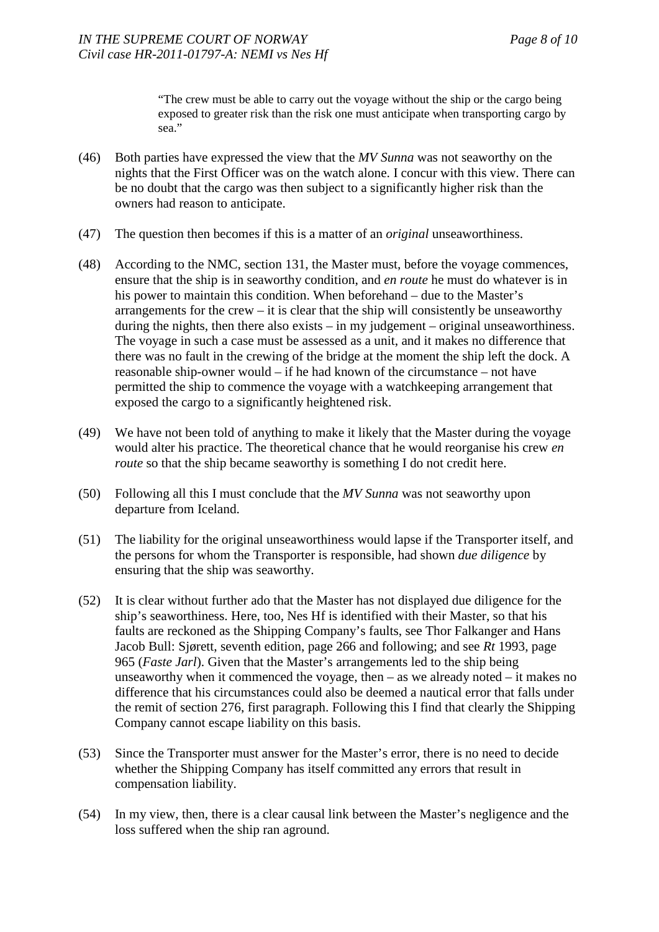"The crew must be able to carry out the voyage without the ship or the cargo being exposed to greater risk than the risk one must anticipate when transporting cargo by sea."

- (46) Both parties have expressed the view that the *MV Sunna* was not seaworthy on the nights that the First Officer was on the watch alone. I concur with this view. There can be no doubt that the cargo was then subject to a significantly higher risk than the owners had reason to anticipate.
- (47) The question then becomes if this is a matter of an *original* unseaworthiness.
- (48) According to the NMC, section 131, the Master must, before the voyage commences, ensure that the ship is in seaworthy condition, and *en route* he must do whatever is in his power to maintain this condition. When beforehand – due to the Master's arrangements for the crew  $-$  it is clear that the ship will consistently be unseaworthy during the nights, then there also exists – in my judgement – original unseaworthiness. The voyage in such a case must be assessed as a unit, and it makes no difference that there was no fault in the crewing of the bridge at the moment the ship left the dock. A reasonable ship-owner would – if he had known of the circumstance – not have permitted the ship to commence the voyage with a watchkeeping arrangement that exposed the cargo to a significantly heightened risk.
- (49) We have not been told of anything to make it likely that the Master during the voyage would alter his practice. The theoretical chance that he would reorganise his crew *en route* so that the ship became seaworthy is something I do not credit here.
- (50) Following all this I must conclude that the *MV Sunna* was not seaworthy upon departure from Iceland.
- (51) The liability for the original unseaworthiness would lapse if the Transporter itself, and the persons for whom the Transporter is responsible, had shown *due diligence* by ensuring that the ship was seaworthy.
- (52) It is clear without further ado that the Master has not displayed due diligence for the ship's seaworthiness. Here, too, Nes Hf is identified with their Master, so that his faults are reckoned as the Shipping Company's faults, see Thor Falkanger and Hans Jacob Bull: Sjørett, seventh edition, page 266 and following; and see *Rt* 1993, page 965 (*Faste Jarl*). Given that the Master's arrangements led to the ship being unseaworthy when it commenced the voyage, then – as we already noted – it makes no difference that his circumstances could also be deemed a nautical error that falls under the remit of section 276, first paragraph. Following this I find that clearly the Shipping Company cannot escape liability on this basis.
- (53) Since the Transporter must answer for the Master's error, there is no need to decide whether the Shipping Company has itself committed any errors that result in compensation liability.
- (54) In my view, then, there is a clear causal link between the Master's negligence and the loss suffered when the ship ran aground.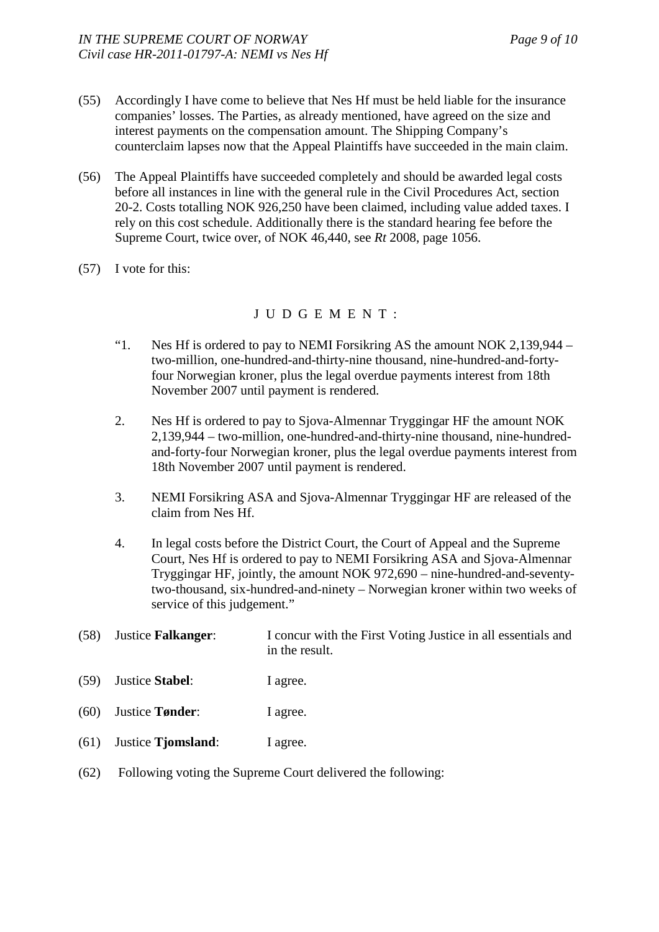- (55) Accordingly I have come to believe that Nes Hf must be held liable for the insurance companies' losses. The Parties, as already mentioned, have agreed on the size and interest payments on the compensation amount. The Shipping Company's counterclaim lapses now that the Appeal Plaintiffs have succeeded in the main claim.
- (56) The Appeal Plaintiffs have succeeded completely and should be awarded legal costs before all instances in line with the general rule in the Civil Procedures Act, section 20-2. Costs totalling NOK 926,250 have been claimed, including value added taxes. I rely on this cost schedule. Additionally there is the standard hearing fee before the Supreme Court, twice over, of NOK 46,440, see *Rt* 2008, page 1056.
- (57) I vote for this:

## J U D G E M E N T :

- "1. Nes Hf is ordered to pay to NEMI Forsikring AS the amount NOK 2,139,944 two-million, one-hundred-and-thirty-nine thousand, nine-hundred-and-fortyfour Norwegian kroner, plus the legal overdue payments interest from 18th November 2007 until payment is rendered.
- 2. Nes Hf is ordered to pay to Sjova-Almennar Tryggingar HF the amount NOK 2,139,944 – two-million, one-hundred-and-thirty-nine thousand, nine-hundredand-forty-four Norwegian kroner, plus the legal overdue payments interest from 18th November 2007 until payment is rendered.
- 3. NEMI Forsikring ASA and Sjova-Almennar Tryggingar HF are released of the claim from Nes Hf.
- 4. In legal costs before the District Court, the Court of Appeal and the Supreme Court, Nes Hf is ordered to pay to NEMI Forsikring ASA and Sjova-Almennar Tryggingar HF, jointly, the amount NOK 972,690 – nine-hundred-and-seventytwo-thousand, six-hundred-and-ninety – Norwegian kroner within two weeks of service of this judgement."
- (58) Justice **Falkanger**: I concur with the First Voting Justice in all essentials and in the result.
- (59) Justice **Stabel**: I agree.
- (60) Justice **Tønder**: I agree.
- (61) Justice **Tjomsland**: I agree.
- (62) Following voting the Supreme Court delivered the following: